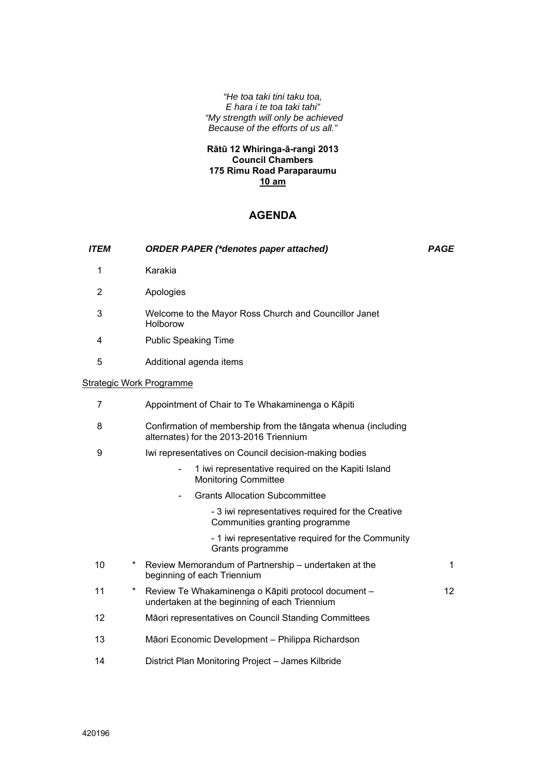*"He toa taki tini taku toa, E hara i te toa taki tahi" "My strength will only be achieved Because of the efforts of us all."* 

## **Rātū 12 Whiringa-ā-rangi 2013 Council Chambers 175 Rimu Road Paraparaumu 10 am**

## **AGENDA**

| <i><b>ITEM</b></i> |        | <b>ORDER PAPER (*denotes paper attached)</b>                                                             | <b>PAGE</b> |
|--------------------|--------|----------------------------------------------------------------------------------------------------------|-------------|
| 1                  |        | Karakia                                                                                                  |             |
| 2                  |        | Apologies                                                                                                |             |
| 3                  |        | Welcome to the Mayor Ross Church and Councillor Janet<br>Holborow                                        |             |
| 4                  |        | <b>Public Speaking Time</b>                                                                              |             |
| 5                  |        | Additional agenda items                                                                                  |             |
|                    |        | <b>Strategic Work Programme</b>                                                                          |             |
| 7                  |        | Appointment of Chair to Te Whakaminenga o Kāpiti                                                         |             |
| 8                  |        | Confirmation of membership from the tāngata whenua (including<br>alternates) for the 2013-2016 Triennium |             |
| 9                  |        | Iwi representatives on Council decision-making bodies                                                    |             |
|                    |        | 1 iwi representative required on the Kapiti Island<br><b>Monitoring Committee</b>                        |             |
|                    |        | <b>Grants Allocation Subcommittee</b>                                                                    |             |
|                    |        | - 3 iwi representatives required for the Creative<br>Communities granting programme                      |             |
|                    |        | - 1 iwi representative required for the Community<br>Grants programme                                    |             |
| 10                 | $\ast$ | Review Memorandum of Partnership – undertaken at the<br>beginning of each Triennium                      | 1           |
| 11                 | $\ast$ | Review Te Whakaminenga o Kāpiti protocol document -<br>undertaken at the beginning of each Triennium     | 12          |
| 12                 |        | Māori representatives on Council Standing Committees                                                     |             |
| 13                 |        | Māori Economic Development - Philippa Richardson                                                         |             |
| 14                 |        | District Plan Monitoring Project - James Kilbride                                                        |             |